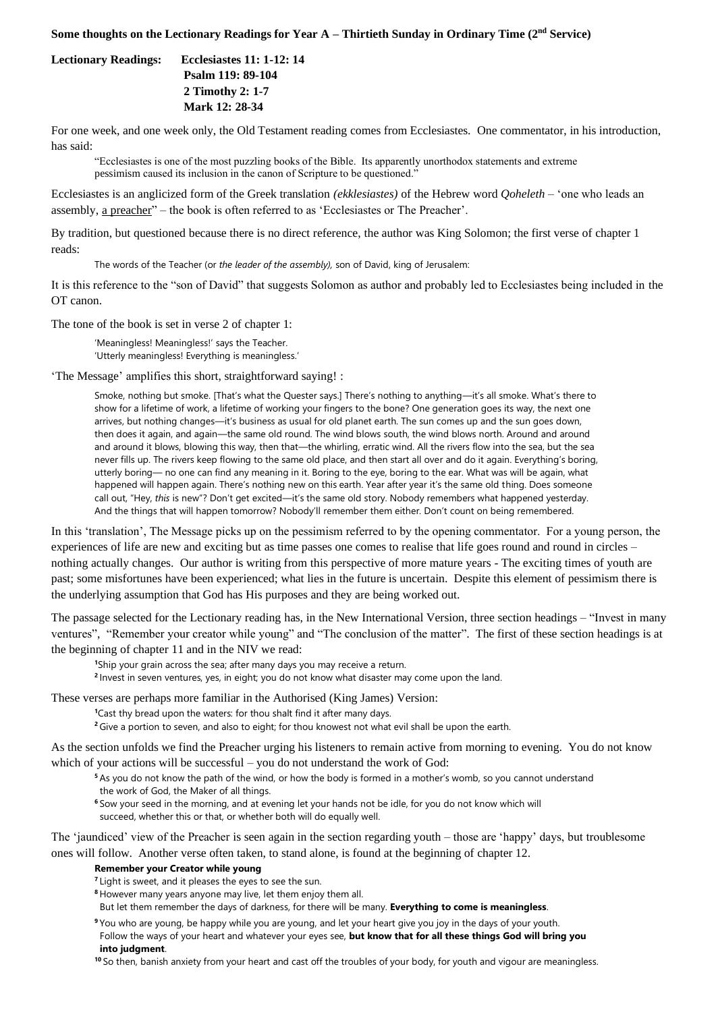## **Some thoughts on the Lectionary Readings for Year A – Thirtieth Sunday in Ordinary Time (2nd Service)**

**Lectionary Readings: Ecclesiastes 11: 1-12: 14**

 **Psalm 119: 89-104 2 Timothy 2: 1-7 Mark 12: 28-34**

For one week, and one week only, the Old Testament reading comes from Ecclesiastes. One commentator, in his introduction, has said:

"Ecclesiastes is one of the most puzzling books of the Bible. Its apparently unorthodox statements and extreme pessimism caused its inclusion in the canon of Scripture to be questioned."

Ecclesiastes is an anglicized form of the Greek translation *(ekklesiastes)* of the Hebrew word *Qoheleth* – 'one who leads an assembly, a preacher" – the book is often referred to as 'Ecclesiastes or The Preacher'.

By tradition, but questioned because there is no direct reference, the author was King Solomon; the first verse of chapter 1 reads:

The words of the Teacher (or *the leader of the assembly),* son of David, king of Jerusalem:

It is this reference to the "son of David" that suggests Solomon as author and probably led to Ecclesiastes being included in the OT canon.

The tone of the book is set in verse 2 of chapter 1:

'Meaningless! Meaningless!' says the Teacher. 'Utterly meaningless! Everything is meaningless.'

'The Message' amplifies this short, straightforward saying! :

Smoke, nothing but smoke. [That's what the Quester says.] There's nothing to anything—it's all smoke. What's there to show for a lifetime of work, a lifetime of working your fingers to the bone? One generation goes its way, the next one arrives, but nothing changes—it's business as usual for old planet earth. The sun comes up and the sun goes down, then does it again, and again—the same old round. The wind blows south, the wind blows north. Around and around and around it blows, blowing this way, then that—the whirling, erratic wind. All the rivers flow into the sea, but the sea never fills up. The rivers keep flowing to the same old place, and then start all over and do it again. Everything's boring, utterly boring— no one can find any meaning in it. Boring to the eye, boring to the ear. What was will be again, what happened will happen again. There's nothing new on this earth. Year after year it's the same old thing. Does someone call out, "Hey, *this* is new"? Don't get excited—it's the same old story. Nobody remembers what happened yesterday. And the things that will happen tomorrow? Nobody'll remember them either. Don't count on being remembered.

In this 'translation', The Message picks up on the pessimism referred to by the opening commentator. For a young person, the experiences of life are new and exciting but as time passes one comes to realise that life goes round and round in circles – nothing actually changes. Our author is writing from this perspective of more mature years - The exciting times of youth are past; some misfortunes have been experienced; what lies in the future is uncertain. Despite this element of pessimism there is the underlying assumption that God has His purposes and they are being worked out.

The passage selected for the Lectionary reading has, in the New International Version, three section headings – "Invest in many ventures", "Remember your creator while young" and "The conclusion of the matter". The first of these section headings is at the beginning of chapter 11 and in the NIV we read:

**<sup>1</sup>**Ship your grain across the sea; after many days you may receive a return.

**2** Invest in seven ventures, yes, in eight; you do not know what disaster may come upon the land.

These verses are perhaps more familiar in the Authorised (King James) Version:

**<sup>1</sup>**Cast thy bread upon the waters: for thou shalt find it after many days.

**<sup>2</sup>**Give a portion to seven, and also to eight; for thou knowest not what evil shall be upon the earth.

As the section unfolds we find the Preacher urging his listeners to remain active from morning to evening. You do not know which of your actions will be successful – you do not understand the work of God:

**<sup>5</sup>** As you do not know the path of the wind, or how the body is formed in a mother's womb, so you cannot understand

- the work of God, the Maker of all things.
- **<sup>6</sup>** Sow your seed in the morning, and at evening let your hands not be idle, for you do not know which will succeed, whether this or that, or whether both will do equally well.

The 'jaundiced' view of the Preacher is seen again in the section regarding youth – those are 'happy' days, but troublesome ones will follow. Another verse often taken, to stand alone, is found at the beginning of chapter 12.

## **Remember your Creator while young**

- <sup>7</sup> Light is sweet, and it pleases the eyes to see the sun.
- **<sup>8</sup>** However many years anyone may live, let them enjoy them all.
- But let them remember the days of darkness, for there will be many. **Everything to come is meaningless**.
- **<sup>9</sup>** You who are young, be happy while you are young, and let your heart give you joy in the days of your youth. Follow the ways of your heart and whatever your eyes see, **but know that for all these things God will bring you into judgment**.

**<sup>10</sup>** So then, banish anxiety from your heart and cast off the troubles of your body, for youth and vigour are meaningless.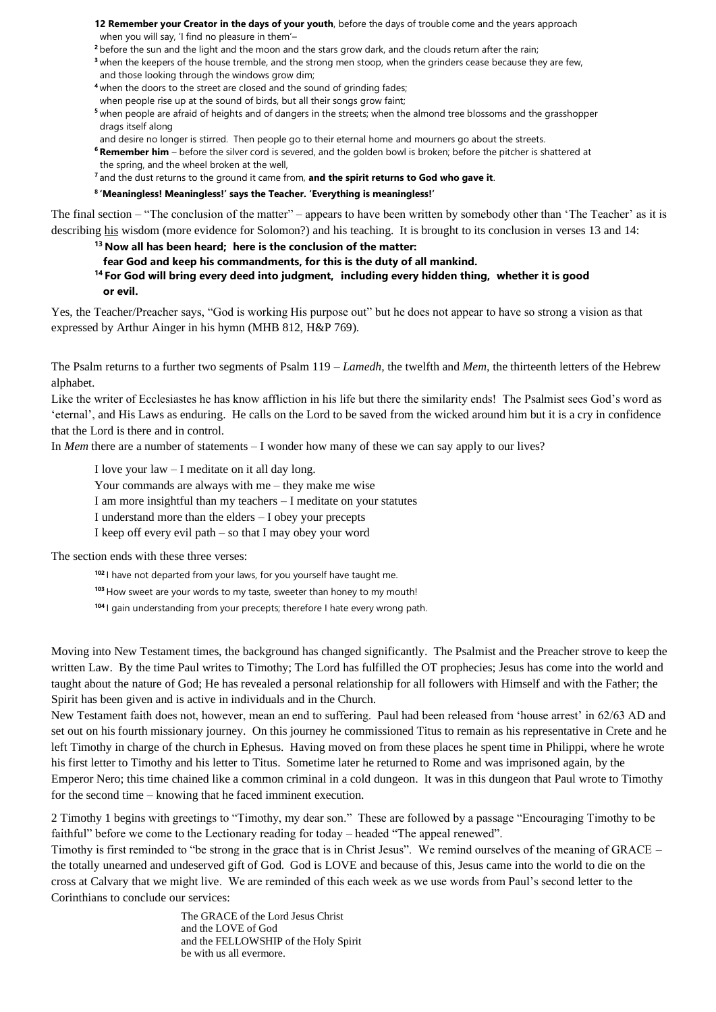**12 Remember your Creator in the days of your youth**, before the days of trouble come and the years approach

when you will say, 'I find no pleasure in them'–

- <sup>2</sup> before the sun and the light and the moon and the stars grow dark, and the clouds return after the rain;
- **<sup>3</sup>** when the keepers of the house tremble, and the strong men stoop, when the grinders cease because they are few, and those looking through the windows grow dim;
- **<sup>4</sup>** when the doors to the street are closed and the sound of grinding fades;
- when people rise up at the sound of birds, but all their songs grow faint;
- **<sup>5</sup>** when people are afraid of heights and of dangers in the streets; when the almond tree blossoms and the grasshopper drags itself along
- and desire no longer is stirred. Then people go to their eternal home and mourners go about the streets.
- **<sup>6</sup> Remember him** before the silver cord is severed, and the golden bowl is broken; before the pitcher is shattered at the spring, and the wheel broken at the well,
- **<sup>7</sup>** and the dust returns to the ground it came from, **and the spirit returns to God who gave it**.
- **8 'Meaningless! Meaningless!' says the Teacher. 'Everything is meaningless!'**

The final section – "The conclusion of the matter" – appears to have been written by somebody other than 'The Teacher' as it is describing his wisdom (more evidence for Solomon?) and his teaching. It is brought to its conclusion in verses 13 and 14:

- **<sup>13</sup> Now all has been heard; here is the conclusion of the matter:**
- **fear God and keep his commandments, for this is the duty of all mankind.**

**<sup>14</sup> For God will bring every deed into judgment, including every hidden thing, whether it is good or evil.**

Yes, the Teacher/Preacher says, "God is working His purpose out" but he does not appear to have so strong a vision as that expressed by Arthur Ainger in his hymn (MHB 812, H&P 769).

The Psalm returns to a further two segments of Psalm 119 – *Lamedh,* the twelfth and *Mem,* the thirteenth letters of the Hebrew alphabet.

Like the writer of Ecclesiastes he has know affliction in his life but there the similarity ends! The Psalmist sees God's word as 'eternal', and His Laws as enduring. He calls on the Lord to be saved from the wicked around him but it is a cry in confidence that the Lord is there and in control.

In *Mem* there are a number of statements – I wonder how many of these we can say apply to our lives?

I love your law – I meditate on it all day long.

Your commands are always with me – they make me wise

I am more insightful than my teachers – I meditate on your statutes

I understand more than the elders – I obey your precepts

I keep off every evil path – so that I may obey your word

The section ends with these three verses:

**<sup>102</sup>** I have not departed from your laws, for you yourself have taught me.

**<sup>103</sup>** How sweet are your words to my taste, sweeter than honey to my mouth!

**<sup>104</sup>** I gain understanding from your precepts; therefore I hate every wrong path.

Moving into New Testament times, the background has changed significantly. The Psalmist and the Preacher strove to keep the written Law. By the time Paul writes to Timothy; The Lord has fulfilled the OT prophecies; Jesus has come into the world and taught about the nature of God; He has revealed a personal relationship for all followers with Himself and with the Father; the Spirit has been given and is active in individuals and in the Church.

New Testament faith does not, however, mean an end to suffering. Paul had been released from 'house arrest' in 62/63 AD and set out on his fourth missionary journey. On this journey he commissioned Titus to remain as his representative in Crete and he left Timothy in charge of the church in Ephesus. Having moved on from these places he spent time in Philippi, where he wrote his first letter to Timothy and his letter to Titus. Sometime later he returned to Rome and was imprisoned again, by the Emperor Nero; this time chained like a common criminal in a cold dungeon. It was in this dungeon that Paul wrote to Timothy for the second time – knowing that he faced imminent execution.

2 Timothy 1 begins with greetings to "Timothy, my dear son." These are followed by a passage "Encouraging Timothy to be faithful" before we come to the Lectionary reading for today – headed "The appeal renewed".

Timothy is first reminded to "be strong in the grace that is in Christ Jesus". We remind ourselves of the meaning of GRACE – the totally unearned and undeserved gift of God. God is LOVE and because of this, Jesus came into the world to die on the cross at Calvary that we might live. We are reminded of this each week as we use words from Paul's second letter to the Corinthians to conclude our services:

> The GRACE of the Lord Jesus Christ and the LOVE of God and the FELLOWSHIP of the Holy Spirit be with us all evermore.